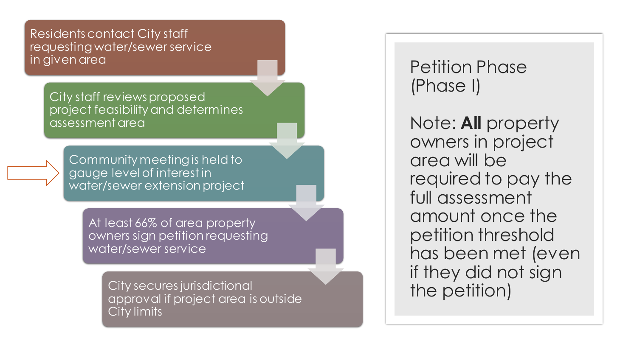Residents contact City staff requesting water/sewer service in given area

> City staff reviews proposed project feasibility and determines assessment area

Community meeting is held to gauge level of interest in water/sewer extension project

> At least 66% of area property owners sign petition requesting water/sewer service

> > City secures jurisdictional approval if project area is outside City limits

Petition Phase (Phase I)

Note: **All** property owners in project area will be required to pay the full assessment amount once the petition threshold has been met (even if they did not sign the petition)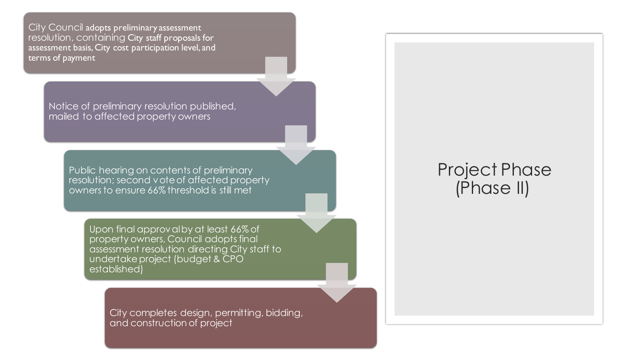City Council adopts preliminary assessment resolution, containing City staff proposals for assessment basis, City cost participation level, and terms of payment

> Notice of preliminary resolution published, mailed to affected property owners

> > Public hearing on contents of preliminary resolution; second vote of affected property owners to ensure 66% threshold is still met

Upon final approval by at least 66% of property owners, Council adopts final assessment resolution directing City staff to undertake project (budget & CPO established)

> City completes design, permitting, bidding, and construction of project

## Project Phase (Phase II)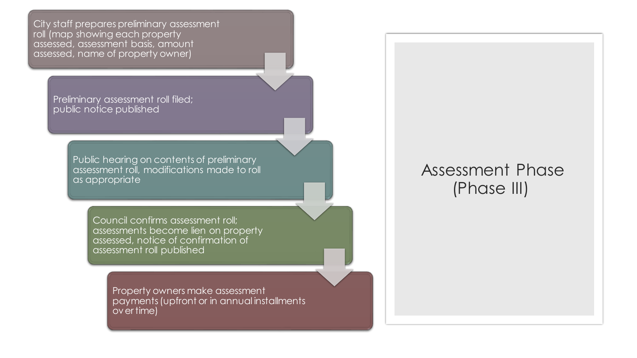City staff prepares preliminary assessment roll (map showing each property assessed, assessment basis, amount assessed, name of property owner)

> Preliminary assessment roll filed; public notice published

> > Public hearing on contents of preliminary assessment roll, modifications made to roll as appropriate

> > > Council confirms assessment roll; assessments become lien on property assessed, notice of confirmation of assessment roll published

> > > > Property owners make assessment payments (upfront or in annual installments over time)

## Assessment Phase (Phase III)